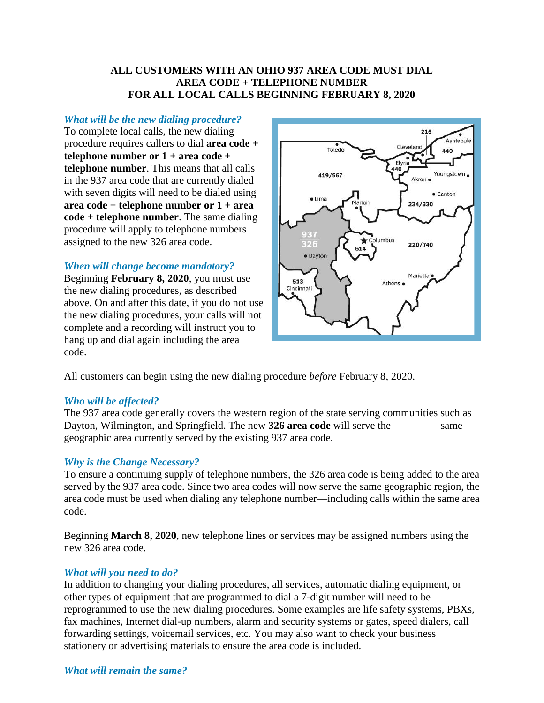# **ALL CUSTOMERS WITH AN OHIO 937 AREA CODE MUST DIAL AREA CODE + TELEPHONE NUMBER FOR ALL LOCAL CALLS BEGINNING FEBRUARY 8, 2020**

## *What will be the new dialing procedure?*

To complete local calls, the new dialing procedure requires callers to dial **area code + telephone number or 1 + area code + telephone number**. This means that all calls in the 937 area code that are currently dialed with seven digits will need to be dialed using **area code + telephone number or 1 + area code + telephone number**. The same dialing procedure will apply to telephone numbers assigned to the new 326 area code.

### *When will change become mandatory?*

Beginning **February 8, 2020**, you must use the new dialing procedures, as described above. On and after this date, if you do not use the new dialing procedures, your calls will not complete and a recording will instruct you to hang up and dial again including the area code.



All customers can begin using the new dialing procedure *before* February 8, 2020.

#### *Who will be affected?*

The 937 area code generally covers the western region of the state serving communities such as Dayton, Wilmington, and Springfield. The new 326 area code will serve the same geographic area currently served by the existing 937 area code.

### *Why is the Change Necessary?*

To ensure a continuing supply of telephone numbers, the 326 area code is being added to the area served by the 937 area code. Since two area codes will now serve the same geographic region, the area code must be used when dialing any telephone number—including calls within the same area code.

Beginning **March 8, 2020**, new telephone lines or services may be assigned numbers using the new 326 area code.

#### *What will you need to do?*

In addition to changing your dialing procedures, all services, automatic dialing equipment, or other types of equipment that are programmed to dial a 7-digit number will need to be reprogrammed to use the new dialing procedures. Some examples are life safety systems, PBXs, fax machines, Internet dial-up numbers, alarm and security systems or gates, speed dialers, call forwarding settings, voicemail services, etc. You may also want to check your business stationery or advertising materials to ensure the area code is included.

### *What will remain the same?*